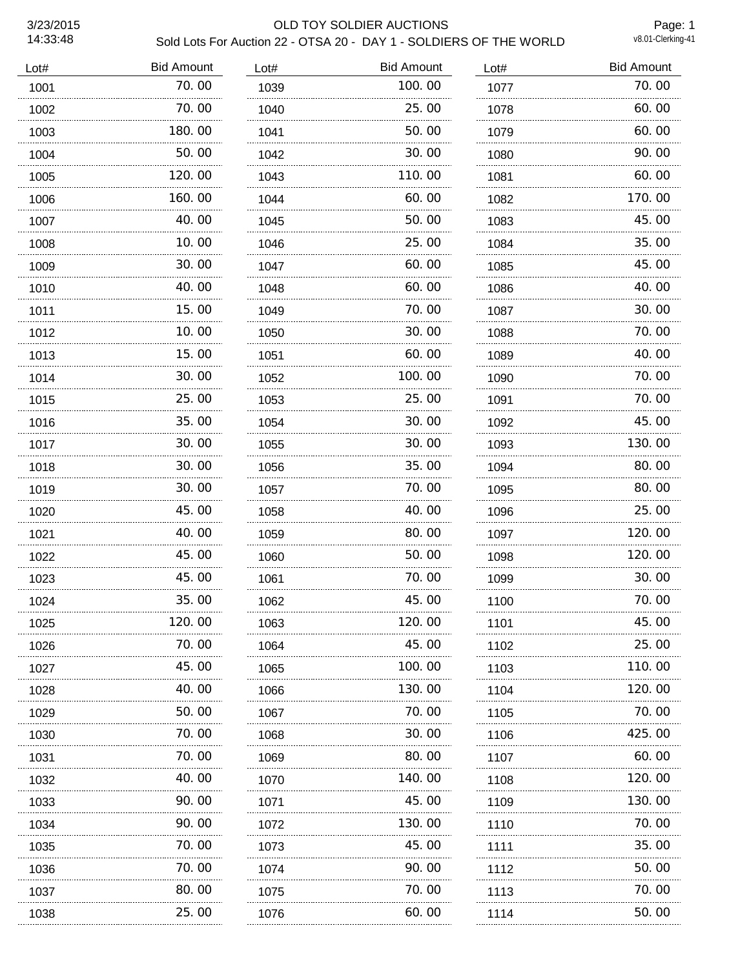# 3/23/2015 OLD TOY SOLDIER AUCTIONS Sold Lots For Auction 22 - OTSA 20 - DAY 1 - SOLDIERS OF THE WORLD

Page: 1<br>v8.01-Clerking-41

| Lot# | <b>Bid Amount</b> | Lot# | <b>Bid Amount</b> | Lot# | <b>Bid Amount</b> |
|------|-------------------|------|-------------------|------|-------------------|
| 1001 | 70.00             | 1039 | 100.00            | 1077 | 70.00             |
| 1002 | 70.00             | 1040 | 25.00             | 1078 | 60.00             |
| 1003 | 180.00            | 1041 | 50.00             | 1079 | 60.00             |
| 1004 | 50.00             | 1042 | 30.00             | 1080 | 90.00             |
| 1005 | 120.00<br>.       | 1043 | 110.00            | 1081 | 60.00             |
| 1006 | 160.00            | 1044 | 60.00             | 1082 | 170.00            |
| 1007 | 40.00             | 1045 | 50.00             | 1083 | 45.00             |
| 1008 | 10.00             | 1046 | 25.00             | 1084 | 35.00             |
| 1009 | 30.00             | 1047 | 60.00             | 1085 | 45.00             |
| 1010 | 40.00             | 1048 | 60.00             | 1086 | 40.00             |
| 1011 | 15.00             | 1049 | 70.00             | 1087 | 30.00             |
| 1012 | 10.00             | 1050 | 30.00             | 1088 | 70.00             |
| 1013 | 15.00             | 1051 | 60.00             | 1089 | 40.00             |
| 1014 | 30.00             | 1052 | 100.00            | 1090 | 70.00             |
| 1015 | 25.00             | 1053 | 25.00             | 1091 | 70.00             |
| 1016 | 35.00             | 1054 | 30.00             | 1092 | 45.00             |
| 1017 | 30.00             | 1055 | 30.00             | 1093 | 130.00            |
| 1018 | 30.00             | 1056 | 35.00             | 1094 | 80.00             |
| 1019 | 30.00             | 1057 | 70.00             | 1095 | 80.00             |
| 1020 | 45.00             | 1058 | 40.00             | 1096 | 25.00             |
| 1021 | 40.00             | 1059 | 80.00             | 1097 | 120.00            |
| 1022 | 45.00             | 1060 | 50.00             | 1098 | 120.00            |
| 1023 | 45.00             | 1061 | 70.00             | 1099 | 30.00             |
| 1024 | 35.00             | 1062 | 45.00             | 1100 | 70.00             |
| 1025 | 120.00            | 1063 | 120.00            | 1101 | 45.00             |
| 1026 | 70.00             | 1064 | 45.00             | 1102 | 25.00             |
| 1027 | 45.00<br>.        | 1065 | 100. 00<br>.      | 1103 | 110. 00<br>.      |
| 1028 | 40.00             | 1066 | 130. 00           | 1104 | 120.00            |
| 1029 | 50.00             | 1067 | 70.00             | 1105 | 70.00             |
| 1030 | 70.00             | 1068 | 30.00             | 1106 | 425.00            |
| 1031 | 70.00             | 1069 | 80.00             | 1107 | 60.00             |
| 1032 | 40.00             | 1070 | 140. 00           | 1108 | 120. 00           |
| 1033 | 90.00             | 1071 | 45.00             | 1109 | 130.00            |
| 1034 | 90.00             | 1072 | 130.00            | 1110 | 70.00             |
| 1035 | 70. 00            | 1073 | 45.00             | 1111 | 35.00             |
| 1036 | 70.00             | 1074 | 90.00             | 1112 | 50.00             |
| 1037 | 80.00             | 1075 | 70. 00            | 1113 | 70. 00            |
| 1038 | 25.00             | 1076 | 60.00             | 1114 | 50.00             |
| .    |                   | .    | .                 | .    |                   |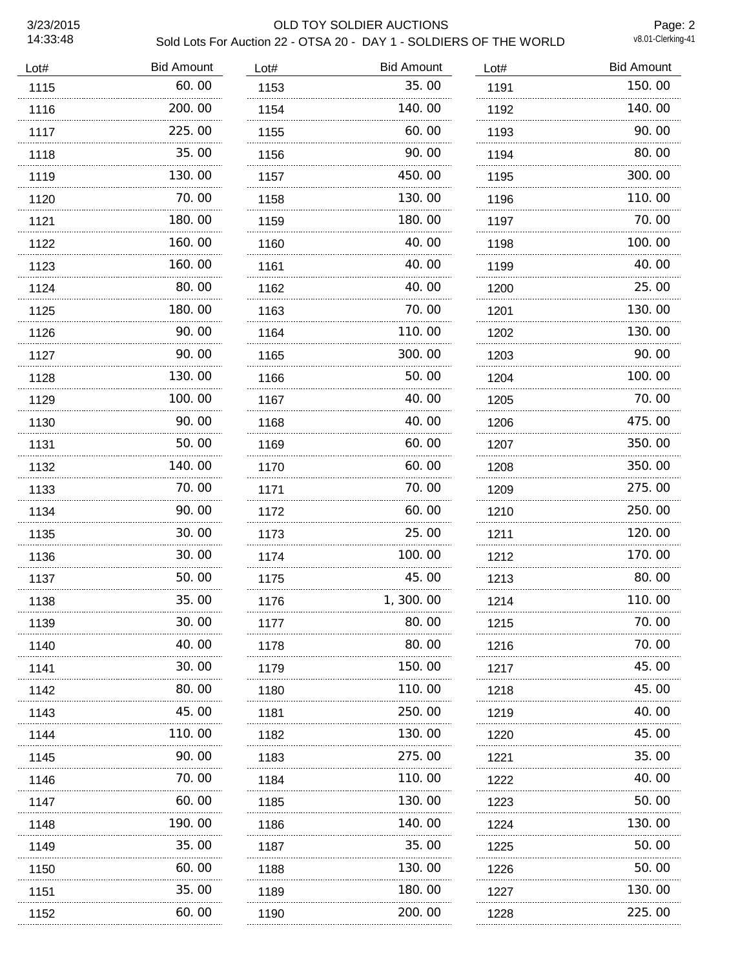# 3/23/2015 OLD TOY SOLDIER AUCTIONS Sold Lots For Auction 22 - OTSA 20 - DAY 1 - SOLDIERS OF THE WORLD

Page: 2<br>v8.01-Clerking-41

| Lot# | <b>Bid Amount</b> | Lot# | <b>Bid Amount</b> | Lot# | <b>Bid Amount</b> |
|------|-------------------|------|-------------------|------|-------------------|
| 1115 | 60.00             | 1153 | 35.00             | 1191 | 150.00            |
| 1116 | 200.00            | 1154 | 140.00            | 1192 | 140.00            |
| 1117 | 225.00            | 1155 | 60.00             | 1193 | 90.00             |
| 1118 | 35.00             | 1156 | 90.00             | 1194 | 80.00             |
| 1119 | 130.00<br>.       | 1157 | 450.00            | 1195 | 300.00            |
| 1120 | 70.00             | 1158 | 130.00            | 1196 | 110.00            |
| 1121 | 180.00            | 1159 | 180.00            | 1197 | 70.00             |
| 1122 | 160.00            | 1160 | 40.00             | 1198 | 100.00            |
| 1123 | 160.00            | 1161 | 40.00             | 1199 | 40.00             |
| 1124 | 80.00             | 1162 | 40.00             | 1200 | 25.00             |
| 1125 | 180.00            | 1163 | 70.00             | 1201 | 130.00            |
| 1126 | 90.00             | 1164 | 110.00            | 1202 | 130.00            |
| 1127 | 90.00             | 1165 | 300.00            | 1203 | 90.00             |
| 1128 | 130.00            | 1166 | 50.00             | 1204 | 100.00            |
| 1129 | 100.00            | 1167 | 40.00             | 1205 | 70.00             |
| 1130 | 90.00             | 1168 | 40.00             | 1206 | 475.00            |
| 1131 | 50.00             | 1169 | 60.00             | 1207 | 350.00            |
| 1132 | 140.00            | 1170 | 60.00             | 1208 | 350.00            |
| 1133 | 70.00             | 1171 | 70.00             | 1209 | 275.00            |
| 1134 | 90.00             | 1172 | 60.00             | 1210 | 250.00            |
| 1135 | 30.00             | 1173 | 25.00             | 1211 | 120.00            |
| 1136 | 30.00             | 1174 | 100.00            | 1212 | 170.00            |
| 1137 | 50.00             | 1175 | 45.00             | 1213 | 80.00             |
| 1138 | 35.00             | 1176 | 1,300.00          | 1214 | 110.00            |
| 1139 | 30.00             | 1177 | 80.00             | 1215 | 70.00             |
| 1140 | 40.00             | 1178 | 80.00             | 1216 | 70.00             |
| 1141 | 30.00<br>.        | 1179 | 150. 00           | 1217 | 45.00             |
| 1142 | 80.00             | 1180 | 110.00            | 1218 | 45.00             |
| 1143 | 45.00             | 1181 | 250.00            | 1219 | 40.00             |
| 1144 | 110.00            | 1182 | 130.00            | 1220 | 45.00             |
| 1145 | 90.00             | 1183 | 275.00            | 1221 | 35.00             |
| 1146 | 70. 00            | 1184 | 110.00            | 1222 | 40.00             |
| 1147 | 60.00             | 1185 | 130.00            | 1223 | 50.00             |
| 1148 | 190.00            | 1186 | 140.00            | 1224 | 130.00            |
| 1149 | 35.00             | 1187 | 35.00             | 1225 | 50.00             |
| 1150 | 60.00             | 1188 | 130.00            | 1226 | 50.00             |
| 1151 | 35.00             | 1189 | 180.00            | 1227 | 130.00            |
| 1152 | 60.00             | 1190 | 200.00            | 1228 | 225.00            |
|      |                   |      |                   |      |                   |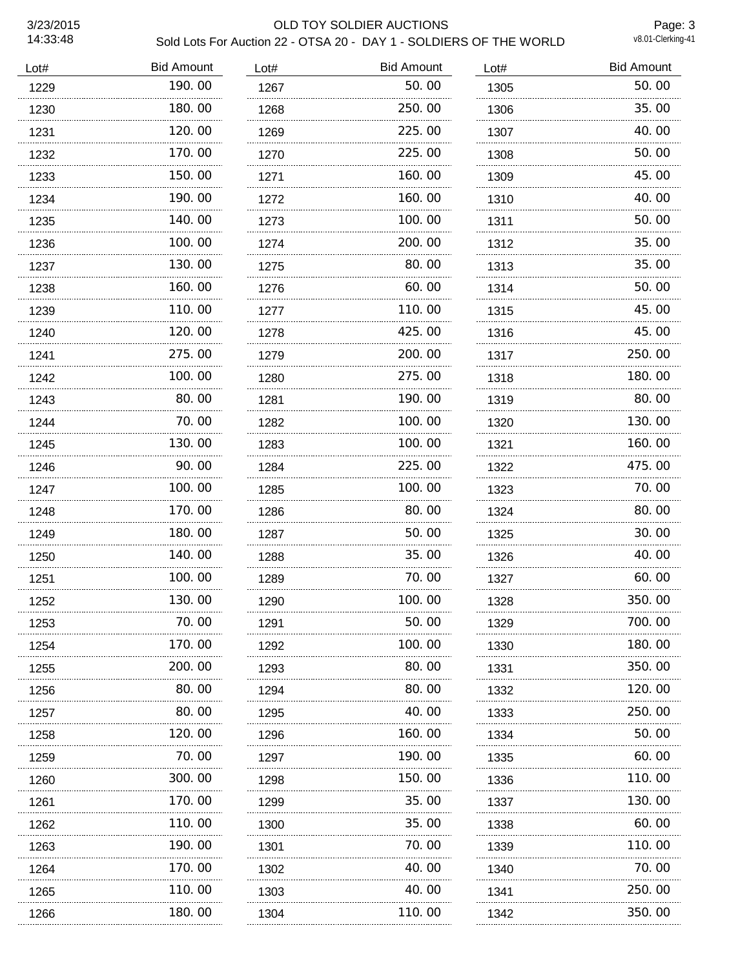# 3/23/2015 OLD TOY SOLDIER AUCTIONS Sold Lots For Auction 22 - OTSA 20 - DAY 1 - SOLDIERS OF THE WORLD

Page: 3<br>v8.01-Clerking-41

| Lot# | <b>Bid Amount</b> | Lot# | <b>Bid Amount</b> | Lot# | <b>Bid Amount</b> |
|------|-------------------|------|-------------------|------|-------------------|
| 1229 | 190.00            | 1267 | 50.00             | 1305 | 50.00             |
| 1230 | 180.00            | 1268 | 250.00            | 1306 | 35.00             |
| 1231 | 120.00            | 1269 | 225.00            | 1307 | 40.00             |
| 1232 | 170.00            | 1270 | 225.00            | 1308 | 50.00             |
| 1233 | 150.00            | 1271 | 160.00            | 1309 | 45.00             |
| 1234 | 190.00            | 1272 | 160.00            | 1310 | 40.00             |
| 1235 | 140.00            | 1273 | 100.00            | 1311 | 50.00             |
| 1236 | 100.00            | 1274 | 200.00            | 1312 | 35.00             |
| 1237 | 130.00            | 1275 | 80.00             | 1313 | 35.00             |
| 1238 | 160.00            | 1276 | 60.00             | 1314 | 50.00             |
| 1239 | 110.00            | 1277 | 110.00            | 1315 | 45.00             |
| 1240 | 120.00            | 1278 | 425,00            | 1316 | 45.00             |
| 1241 | 275.00<br>.       | 1279 | 200.00            | 1317 | 250.00            |
| 1242 | 100.00            | 1280 | 275.00            | 1318 | 180.00            |
| 1243 | 80.00             | 1281 | 190.00            | 1319 | 80.00             |
| 1244 | 70.00             | 1282 | 100.00            | 1320 | 130.00            |
| 1245 | 130.00            | 1283 | 100, 00           | 1321 | 160.00            |
| 1246 | 90.00             | 1284 | 225.00            | 1322 | 475.00            |
| 1247 | 100.00            | 1285 | 100, 00           | 1323 | 70.00             |
| 1248 | 170.00            | 1286 | 80.00             | 1324 | 80.00             |
| 1249 | 180.00            | 1287 | 50.00             | 1325 | 30.00             |
| 1250 | 140.00            | 1288 | 35.00             | 1326 | 40.00             |
| 1251 | 100.00            | 1289 | 70.00             | 1327 | 60.00             |
| 1252 | 130.00            | 1290 | 100.00            | 1328 | 350.00            |
| 1253 | 70.00             | 1291 | 50.00             | 1329 | 700.00            |
| 1254 | 170.00            | 1292 | 100.00            | 1330 | 180.00            |
| 1255 | 200. 00           | 1293 | 80.00             | 1331 | 350.00            |
| 1256 | 80.00             | 1294 | 80.00             | 1332 | 120, 00           |
| 1257 | 80.00             | 1295 | 40.00             | 1333 | 250.00            |
| 1258 | 120.00            | 1296 | 160.00            | 1334 | 50.00             |
| 1259 | 70.00             | 1297 | 190.00            | 1335 | 60.00             |
| 1260 | 300.00            | 1298 | 150.00            | 1336 | 110.00            |
| 1261 | 170. 00           | 1299 | 35.00             | 1337 | 130. 00           |
| 1262 | .<br>110.00       | 1300 | 35.00             | 1338 | 60.00             |
| 1263 | 190. 00           | 1301 | 70.00             | 1339 | 110.00            |
| 1264 | 170.00            | 1302 | 40.00             | 1340 | 70.00             |
| 1265 | 110.00            | 1303 | 40.00             | 1341 | 250.00            |
| 1266 | 180.00            | 1304 | 110.00            | 1342 | 350.00            |
|      |                   |      |                   |      |                   |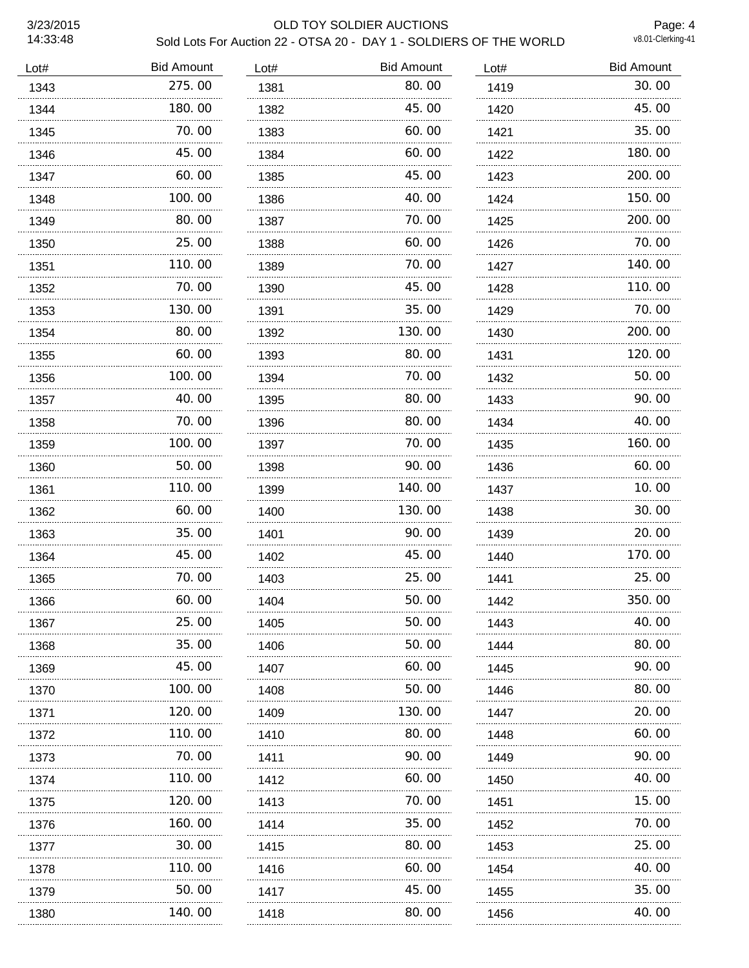# 3/23/2015 OLD TOY SOLDIER AUCTIONS Sold Lots For Auction 22 - OTSA 20 - DAY 1 - SOLDIERS OF THE WORLD

Page: 4<br>v8.01-Clerking-41

| Lot# | <b>Bid Amount</b> | Lot# | <b>Bid Amount</b> | Lot# | <b>Bid Amount</b> |
|------|-------------------|------|-------------------|------|-------------------|
| 1343 | 275.00            | 1381 | 80.00             | 1419 | 30.00             |
| 1344 | 180.00            | 1382 | 45.00             | 1420 | 45.00             |
| 1345 | 70.00<br>.        | 1383 | 60.00             | 1421 | 35.00             |
| 1346 | 45.00             | 1384 | 60.00             | 1422 | 180.00            |
| 1347 | 60.00             | 1385 | 45.00             | 1423 | 200.00            |
| 1348 | 100.00            | 1386 | 40.00             | 1424 | 150.00            |
| 1349 | 80.00             | 1387 | 70.00             | 1425 | 200.00            |
| 1350 | 25.00             | 1388 | 60.00             | 1426 | 70.00             |
| 1351 | 110.00            | 1389 | 70.00             | 1427 | 140.00            |
| 1352 | 70.00             | 1390 | 45.00             | 1428 | 110.00            |
| 1353 | 130.00            | 1391 | 35.00             | 1429 | 70.00             |
| 1354 | 80.00             | 1392 | 130.00            | 1430 | 200.00            |
| 1355 | 60.00             | 1393 | 80.00             | 1431 | 120.00            |
| 1356 | 100.00            | 1394 | 70.00             | 1432 | 50.00             |
| 1357 | 40.00             | 1395 | 80.00             | 1433 | 90.00             |
| 1358 | 70.00             | 1396 | 80.00             | 1434 | 40.00             |
| 1359 | 100.00            | 1397 | 70.00             | 1435 | 160.00            |
| 1360 | 50.00             | 1398 | 90.00             | 1436 | 60.00             |
| 1361 | 110.00            | 1399 | 140.00            | 1437 | 10.00             |
| 1362 | 60.00             | 1400 | 130.00            | 1438 | 30.00             |
| 1363 | 35.00             | 1401 | 90.00             | 1439 | 20.00             |
| 1364 | 45.00             | 1402 | 45.00             | 1440 | 170.00            |
| 1365 | 70.00             | 1403 | 25.00             | 1441 | 25.00             |
| 1366 | 60.00             | 1404 | 50.00             | 1442 | 350.00            |
| 1367 | 25.00             | 1405 | 50.00             | 1443 | 40.00             |
| 1368 | 35.00             | 1406 | 50.00             | 1444 | 80,00             |
| 1369 | 45.00             | 1407 | 60.00             | 1445 | 90.00             |
| 1370 | 100.00            | 1408 | 50.00             | 1446 | 80.00             |
| 1371 | 120.00            | 1409 | 130.00            | 1447 | 20.00             |
| 1372 | 110.00            | 1410 | 80.00             | 1448 | 60.00             |
| 1373 | 70.00             | 1411 | 90.00             | 1449 | 90. 00            |
| 1374 | 110.00            | 1412 | 60.00             | 1450 | 40.00             |
| 1375 | 120.00            | 1413 | 70.00             | 1451 | 15.00             |
| 1376 | 160.00            | 1414 | 35.00             | 1452 | 70.00             |
| 1377 | 30.00             | 1415 | 80.00             | 1453 | 25.00             |
| 1378 | 110.00            | 1416 | 60.00             | 1454 | 40.00             |
| 1379 | 50.00             | 1417 | 45.00             | 1455 | 35.00             |
| 1380 | 140.00            | 1418 | 80.00             | 1456 | 40.00             |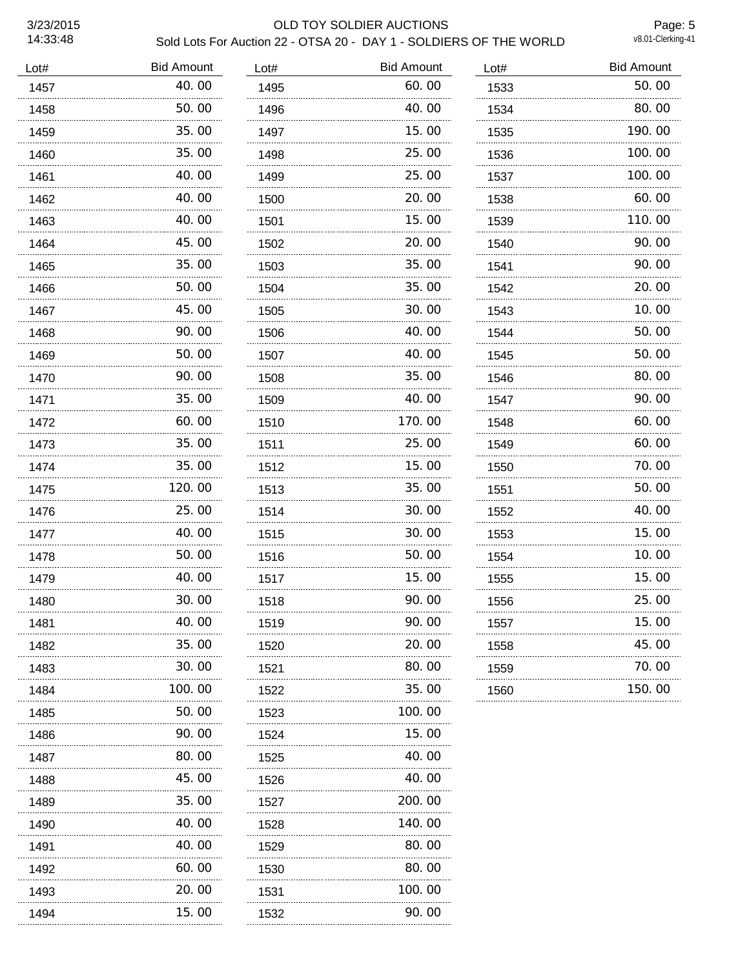# 3/23/2015 OLD TOY SOLDIER AUCTIONS Sold Lots For Auction 22 - OTSA 20 - DAY 1 - SOLDIERS OF THE WORLD

Page: 5<br>v8.01-Clerking-41

| Lot# | <b>Bid Amount</b> | Lot# | <b>Bid Amount</b> | Lot# | <b>Bid Amount</b> |
|------|-------------------|------|-------------------|------|-------------------|
| 1457 | 40.00             | 1495 | 60.00             | 1533 | 50.00             |
| 1458 | 50.00             | 1496 | 40.00             | 1534 | 80.00             |
| 1459 | 35.00             | 1497 | 15.00             | 1535 | 190.00            |
| 1460 | 35.00             | 1498 | 25.00             | 1536 | 100.00            |
| 1461 | 40.00             | 1499 | 25.00             | 1537 | 100.00            |
| 1462 | 40.00             | 1500 | 20.00             | 1538 | 60.00             |
| 1463 | 40.00             | 1501 | 15.00             | 1539 | 110.00            |
| 1464 | 45.00             | 1502 | 20.00             | 1540 | 90.00             |
| 1465 | 35.00             | 1503 | 35.00             | 1541 | 90.00             |
| 1466 | 50.00             | 1504 | 35.00             | 1542 | 20.00             |
| 1467 | 45.00             | 1505 | 30.00             | 1543 | 10.00             |
| 1468 | 90.00             | 1506 | 40.00             | 1544 | 50.00             |
| 1469 | 50.00             | 1507 | 40.00             | 1545 | 50.00             |
| 1470 | 90.00             | 1508 | 35.00             | 1546 | 80.00             |
| 1471 | 35.00             | 1509 | 40.00             | 1547 | 90.00             |
| 1472 | 60.00             | 1510 | 170.00            | 1548 | 60.00             |
| 1473 | 35.00             | 1511 | 25,00             | 1549 | 60.00             |
| 1474 | 35.00             | 1512 | 15.00             | 1550 | 70.00             |
| 1475 | 120.00<br>.       | 1513 | 35.00             | 1551 | 50.00             |
| 1476 | 25.00             | 1514 | 30.00             | 1552 | 40.00             |
| 1477 | 40.00<br>.        | 1515 | 30.00             | 1553 | 15.00             |
| 1478 | 50.00             | 1516 | 50.00             | 1554 | 10.00             |
| 1479 | 40.00             | 1517 | 15.00             | 1555 | 15.00             |
| 1480 | 30.00             | 1518 | 90.00             | 1556 | 25.00             |
| 1481 | 40.00             | 1519 | 90.00             | 1557 | 15.00             |
| 1482 | 35.00             | 1520 | 20.00             | 1558 | 45.00             |
| 1483 | 30.00             | 1521 | 80.00             | 1559 | 70. 00            |
| 1484 | 100. 00           | 1522 | 35.00             | 1560 | 150.00            |
| 1485 | 50.00             | 1523 | 100.00            |      |                   |
| 1486 | 90.00             | 1524 | 15.00             |      |                   |
| 1487 | 80.00             | 1525 | 40.00             |      |                   |
| 1488 | 45.00             | 1526 | 40.00             |      |                   |
| 1489 | 35.00             | 1527 | 200.00            |      |                   |
| 1490 | 40.00             | 1528 | 140.00            |      |                   |
| 1491 | 40.00             | 1529 | 80.00             |      |                   |
| 1492 | 60.00             | 1530 | 80.00             |      |                   |
| 1493 | 20.00             | 1531 | 100.00            |      |                   |
| 1494 | .<br>15.00        | 1532 | 90.00             |      |                   |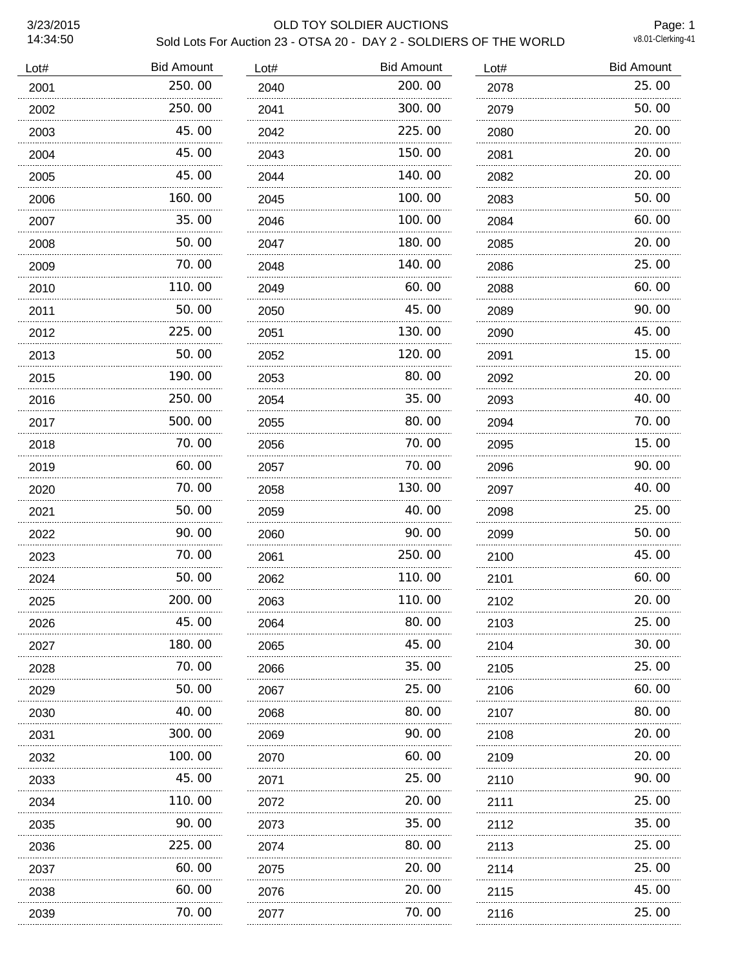### 3/23/2015 OLD TOY SOLDIER AUCTIONS Sold Lots For Auction 23 - OTSA 20 - DAY 2 - SOLDIERS OF THE WORLD

Page: 1<br>v8.01-Clerking-41

| Lot# | <b>Bid Amount</b> | Lot# | <b>Bid Amount</b> | Lot# | <b>Bid Amount</b> |
|------|-------------------|------|-------------------|------|-------------------|
| 2001 | 250.00            | 2040 | 200.00            | 2078 | 25.00             |
| 2002 | 250.00            | 2041 | 300.00            | 2079 | 50.00             |
| 2003 | 45.00             | 2042 | 225.00            | 2080 | 20.00             |
| 2004 | 45.00             | 2043 | 150.00            | 2081 | 20.00             |
| 2005 | 45.00             | 2044 | 140.00            | 2082 | 20.00             |
| 2006 | 160.00            | 2045 | 100.00            | 2083 | 50.00             |
| 2007 | 35.00             | 2046 | 100.00            | 2084 | 60.00             |
| 2008 | 50.00             | 2047 | 180.00            | 2085 | 20.00             |
| 2009 | 70.00             | 2048 | 140.00            | 2086 | 25.00             |
| 2010 | 110.00            | 2049 | 60.00             | 2088 | 60.00             |
| 2011 | 50.00             | 2050 | 45.00             | 2089 | 90.00             |
| 2012 | 225.00            | 2051 | 130.00            | 2090 | 45.00             |
| 2013 | 50.00             | 2052 | 120.00            | 2091 | 15.00             |
| 2015 | 190.00            | 2053 | 80.00             | 2092 | 20.00             |
| 2016 | 250.00            | 2054 | 35.00             | 2093 | 40.00             |
| 2017 | 500.00            | 2055 | 80.00             | 2094 | 70.00             |
| 2018 | 70.00             | 2056 | 70.00             | 2095 | 15.00             |
| 2019 | 60.00             | 2057 | 70.00             | 2096 | 90.00             |
| 2020 | 70.00             | 2058 | 130.00            | 2097 | 40.00             |
| 2021 | 50.00             | 2059 | 40.00             | 2098 | 25.00             |
| 2022 | .<br>90.00        | 2060 | 90.00             | 2099 | 50.00             |
| 2023 | 70.00             | 2061 | 250.00            | 2100 | 45.00             |
| 2024 | 50.00             | 2062 | 110.00            | 2101 | 60.00             |
| 2025 | 200.00            | 2063 | 110.00            | 2102 | 20.00             |
| 2026 | 45.00             | 2064 | 80. 00            | 2103 | 25.00             |
| 2027 | 180. 00           | 2065 | 45.00             | 2104 | 30. 00            |
| 2028 | 70.00             | 2066 | 35.00             | 2105 | 25.00             |
| 2029 | 50.00             | 2067 | 25.00             | 2106 | 60.00             |
| 2030 | 40.00             | 2068 | 80.00             | 2107 | 80.00             |
| 2031 | 300. 00           | 2069 | 90.00             | 2108 | 20.00             |
| 2032 | 100. 00           | 2070 | 60.00             | 2109 | 20.00             |
| 2033 | 45.00             | 2071 | 25.00             | 2110 | 90. 00            |
| 2034 | 110.00            | 2072 | 20.00             | 2111 | 25.00             |
| 2035 | 90.00             | 2073 | 35.00             | 2112 | 35.00             |
| 2036 | 225.00            | 2074 | 80.00             | 2113 | 25.00             |
| 2037 | 60.00             | 2075 | 20.00             | 2114 | 25.00             |
| 2038 | 60.00             | 2076 | 20.00             | 2115 | 45.00             |
| 2039 | 70.00             | 2077 | 70.00             | 2116 | 25.00             |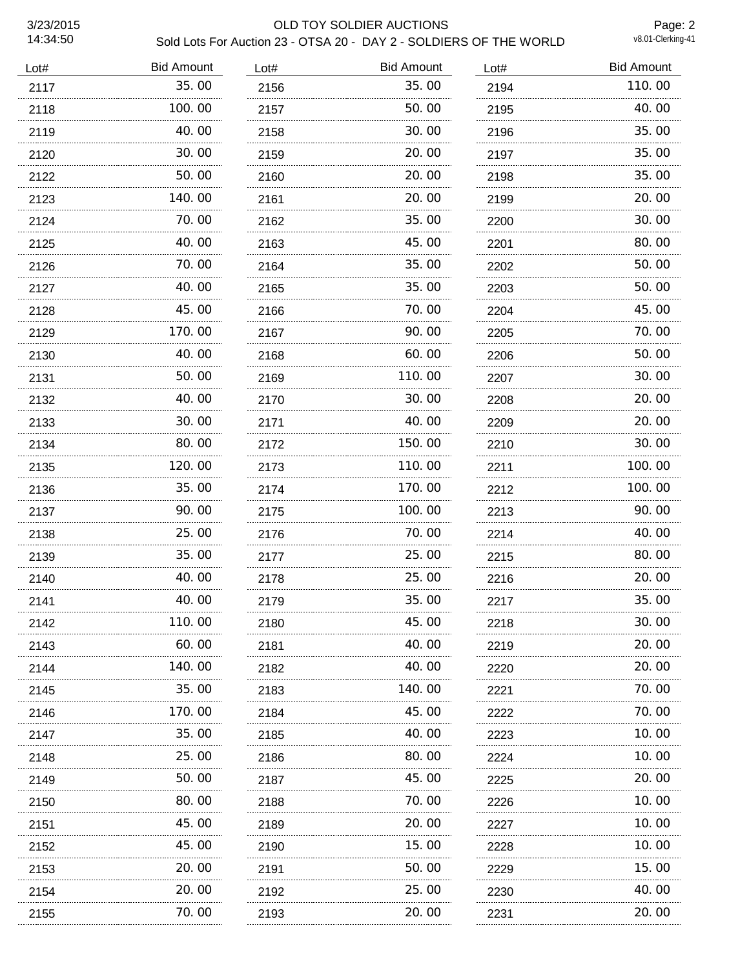# 3/23/2015 OLD TOY SOLDIER AUCTIONS Sold Lots For Auction 23 - OTSA 20 - DAY 2 - SOLDIERS OF THE WORLD

Page: 2<br>v8.01-Clerking-41

| Lot# | <b>Bid Amount</b> | Lot# | <b>Bid Amount</b> | Lot# | <b>Bid Amount</b> |
|------|-------------------|------|-------------------|------|-------------------|
| 2117 | 35.00             | 2156 | 35.00             | 2194 | 110.00            |
| 2118 | 100.00            | 2157 | 50.00             | 2195 | 40.00             |
| 2119 | 40.00             | 2158 | 30.00             | 2196 | 35.00             |
| 2120 | 30.00             | 2159 | 20.00             | 2197 | 35.00             |
| 2122 | 50.00             | 2160 | 20.00             | 2198 | 35.00             |
| 2123 | 140.00            | 2161 | 20,00             | 2199 | 20.00             |
| 2124 | 70.00             | 2162 | 35.00             | 2200 | 30.00             |
| 2125 | 40.00             | 2163 | 45.00             | 2201 | 80.00             |
| 2126 | 70.00             | 2164 | 35.00             | 2202 | 50.00             |
| 2127 | 40.00             | 2165 | 35.00             | 2203 | 50.00             |
| 2128 | 45.00<br>.        | 2166 | 70.00             | 2204 | 45.00             |
| 2129 | 170.00            | 2167 | 90.00             | 2205 | 70.00             |
| 2130 | 40.00             | 2168 | 60.00             | 2206 | 50.00             |
| 2131 | 50.00             | 2169 | 110.00            | 2207 | 30.00             |
| 2132 | 40.00             | 2170 | 30.00             | 2208 | 20.00             |
| 2133 | 30.00             | 2171 | 40.00             | 2209 | 20.00             |
| 2134 | 80.00             | 2172 | 150.00            | 2210 | 30.00             |
| 2135 | 120.00            | 2173 | 110.00            | 2211 | 100.00            |
| 2136 | 35.00             | 2174 | 170.00            | 2212 | 100.00            |
| 2137 | 90.00             | 2175 | 100.00            | 2213 | 90.00             |
| 2138 | 25.00             | 2176 | 70.00             | 2214 | 40.00             |
| 2139 | 35.00             | 2177 | 25.00             | 2215 | 80.00             |
| 2140 | 40.00             | 2178 | 25.00             | 2216 | 20.00             |
| 2141 | 40.00             | 2179 | 35.00             | 2217 | 35.00             |
| 2142 | 110.00            | 2180 | 45.00             | 2218 | 30.00             |
| 2143 | 60.00             | 2181 | 40.00             | 2219 | 20.00             |
| 2144 | 140.00            | 2182 | 40.00             | 2220 | 20.00             |
| 2145 | 35.00             | 2183 | 140.00            | 2221 | 70.00             |
| 2146 | 170.00            | 2184 | 45.00             | 2222 | 70.00             |
| 2147 | 35.00             | 2185 | 40.00             | 2223 | 10.00             |
| 2148 | 25.00<br>.        | 2186 | 80.00             | 2224 | 10.00             |
| 2149 | 50.00             | 2187 | 45.00             | 2225 | 20.00             |
| 2150 | 80.00             | 2188 | 70.00             | 2226 | 10.00             |
| 2151 | 45.00             | 2189 | 20.00             | 2227 | 10.00             |
| 2152 | 45.00             | 2190 | 15.00             | 2228 | 10.00             |
| 2153 | 20.00             | 2191 | 50.00             | 2229 | 15.00             |
| 2154 | 20.00             | 2192 | 25.00             | 2230 | 40.00             |
| 2155 | 70.00             | 2193 | 20.00             | 2231 | 20.00             |
|      |                   |      |                   |      |                   |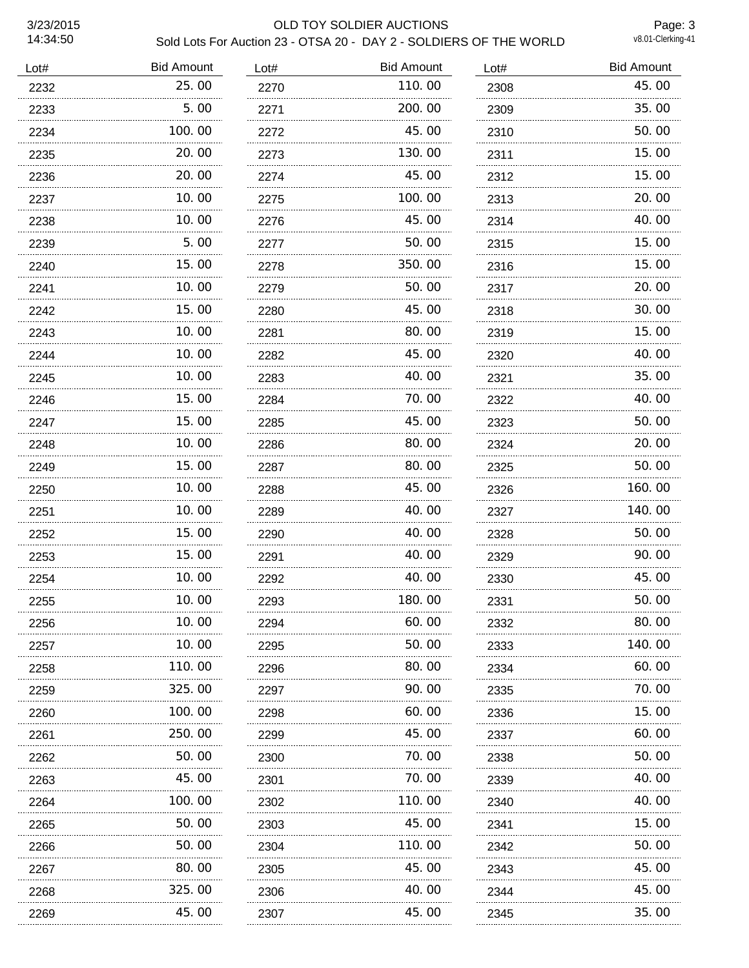### 3/23/2015 OLD TOY SOLDIER AUCTIONS Sold Lots For Auction 23 - OTSA 20 - DAY 2 - SOLDIERS OF THE WORLD

Page: 3<br>v8.01-Clerking-41

| Lot# | <b>Bid Amount</b> | Lot# | <b>Bid Amount</b> | Lot# | <b>Bid Amount</b> |
|------|-------------------|------|-------------------|------|-------------------|
| 2232 | 25.00             | 2270 | 110.00            | 2308 | 45.00             |
| 2233 | 5.00              | 2271 | 200.00            | 2309 | 35.00             |
| 2234 | 100.00            | 2272 | 45.00             | 2310 | 50.00             |
| 2235 | 20.00             | 2273 | 130.00            | 2311 | 15.00             |
| 2236 | 20.00             | 2274 | 45.00             | 2312 | 15.00             |
| 2237 | 10.00             | 2275 | 100.00            | 2313 | 20.00             |
| 2238 | 10.00             | 2276 | 45.00             | 2314 | 40.00             |
| 2239 | 5.00              | 2277 | 50.00             | 2315 | 15.00             |
| 2240 | 15.00             | 2278 | 350.00            | 2316 | 15.00             |
| 2241 | 10.00             | 2279 | 50.00             | 2317 | 20.00             |
| 2242 | 15.00             | 2280 | 45.00             | 2318 | 30.00             |
| 2243 | 10.00             | 2281 | 80.00             | 2319 | 15.00             |
| 2244 | 10.00             | 2282 | 45.00             | 2320 | 40.00             |
| 2245 | 10.00             | 2283 | 40.00             | 2321 | 35.00             |
| 2246 | 15.00<br>.        | 2284 | 70.00             | 2322 | 40.00             |
| 2247 | 15.00             | 2285 | 45.00             | 2323 | 50.00             |
| 2248 | 10.00<br>.        | 2286 | 80.00             | 2324 | 20.00             |
| 2249 | 15.00             | 2287 | 80.00             | 2325 | 50.00             |
| 2250 | 10.00             | 2288 | 45.00             | 2326 | 160.00            |
| 2251 | 10.00             | 2289 | 40.00             | 2327 | 140.00            |
| 2252 | 15.00             | 2290 | 40.00             | 2328 | 50.00             |
| 2253 | 15.00             | 2291 | 40.00             | 2329 | 90.00             |
| 2254 | 10.00             | 2292 | 40.00             | 2330 | 45.00             |
| 2255 | 10.00             | 2293 | 180.00            | 2331 | 50.00             |
| 2256 | 10.00             | 2294 | 60.00             | 2332 | 80.00             |
| 2257 | 10.00             | 2295 | 50.00             | 2333 | 140.00            |
| 2258 | 110.00            | 2296 | 80.00             | 2334 | 60.00             |
| 2259 | 325.00            | 2297 | 90.00             | 2335 | 70.00             |
| 2260 | 100, 00           | 2298 | 60.00             | 2336 | 15.00             |
| 2261 | 250.00            | 2299 | 45.00             | 2337 | 60.00             |
| 2262 | 50.00             | 2300 | 70.00             | 2338 | 50.00             |
| 2263 | 45.00             | 2301 | 70.00             | 2339 | 40.00             |
| 2264 | 100.00            | 2302 | 110.00            | 2340 | 40.00             |
| 2265 | 50.00             | 2303 | 45.00             | 2341 | 15.00             |
| 2266 | 50.00             | 2304 | 110. 00           | 2342 | 50.00             |
| 2267 | 80.00             | 2305 | 45.00             | 2343 | 45.00             |
| 2268 | 325.00            | 2306 | 40.00             | 2344 | 45.00             |
| 2269 | .<br>45.00        | 2307 | 45.00             | 2345 | 35.00             |
|      |                   |      |                   |      |                   |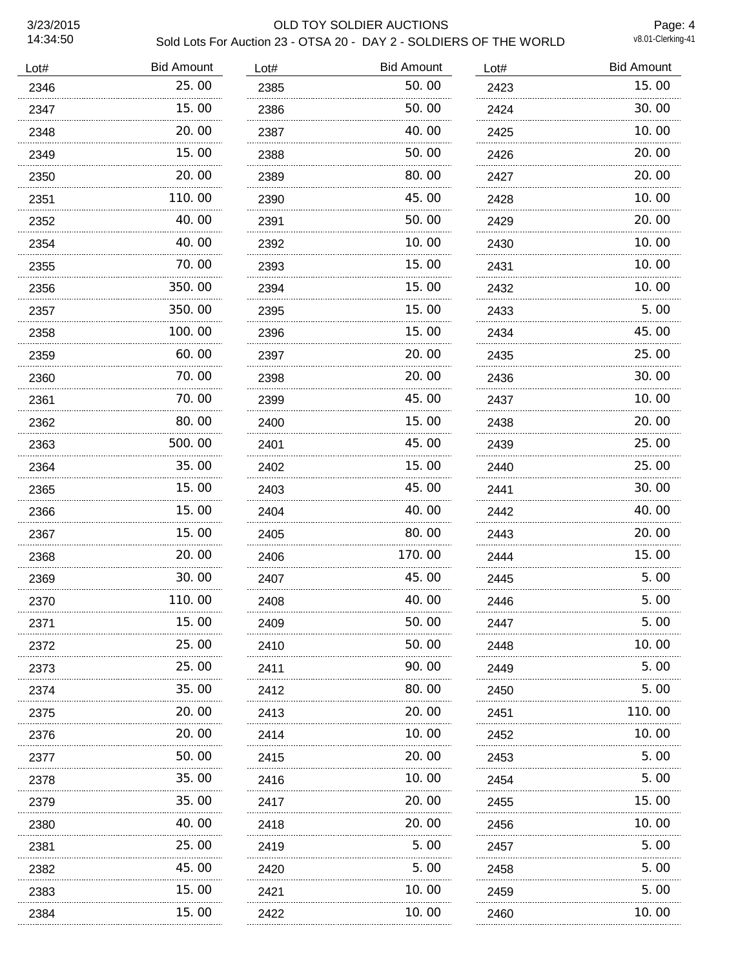### 3/23/2015 OLD TOY SOLDIER AUCTIONS Sold Lots For Auction 23 - OTSA 20 - DAY 2 - SOLDIERS OF THE WORLD

Page: 4<br>v8.01-Clerking-41

| Lot# | <b>Bid Amount</b> | Lot# | <b>Bid Amount</b> | Lot# | <b>Bid Amount</b> |
|------|-------------------|------|-------------------|------|-------------------|
| 2346 | 25.00             | 2385 | 50.00             | 2423 | 15.00             |
| 2347 | 15.00             | 2386 | 50.00             | 2424 | 30.00             |
| 2348 | 20.00             | 2387 | 40.00             | 2425 | 10.00             |
| 2349 | 15.00             | 2388 | 50.00             | 2426 | 20.00             |
| 2350 | 20.00             | 2389 | 80.00             | 2427 | 20.00             |
| 2351 | 110.00            | 2390 | 45.00             | 2428 | 10.00             |
| 2352 | 40.00             | 2391 | 50.00             | 2429 | 20.00             |
| 2354 | 40.00             | 2392 | 10.00             | 2430 | 10.00             |
| 2355 | 70.00             | 2393 | 15.00             | 2431 | 10.00             |
| 2356 | 350.00            | 2394 | 15.00             | 2432 | 10.00             |
| 2357 | 350.00            | 2395 | 15.00             | 2433 | 5.00              |
| 2358 | 100.00            | 2396 | 15.00             | 2434 | 45.00             |
| 2359 | 60.00             | 2397 | 20.00             | 2435 | 25.00             |
| 2360 | 70.00             | 2398 | 20.00             | 2436 | 30.00             |
| 2361 | 70.00<br>.        | 2399 | 45.00             | 2437 | 10.00             |
| 2362 | 80.00             | 2400 | 15.00             | 2438 | 20.00             |
| 2363 | 500.00<br>.       | 2401 | 45.00             | 2439 | 25.00             |
| 2364 | 35.00             | 2402 | 15.00             | 2440 | 25.00             |
| 2365 | 15.00             | 2403 | 45.00             | 2441 | 30.00             |
| 2366 | 15.00             | 2404 | 40.00             | 2442 | 40.00             |
| 2367 | 15.00             | 2405 | 80.00             | 2443 | 20.00             |
| 2368 | 20.00             | 2406 | 170.00            | 2444 | 15.00             |
| 2369 | 30.00             | 2407 | 45.00             | 2445 | 5.00              |
| 2370 | 110.00            | 2408 | 40.00             | 2446 | 5.00              |
| 2371 | 15.00             | 2409 | 50.00             | 2447 | 5.00              |
| 2372 | 25.00             | 2410 | 50.00             | 2448 | 10. 00            |
| 2373 | 25.00             | 2411 | 90.00             | 2449 | 5.00              |
| 2374 | 35.00             | 2412 | 80.00             | 2450 | 5.00              |
| 2375 | 20.00             | 2413 | 20.00             | 2451 | 110.00            |
| 2376 | 20.00             | 2414 | 10.00             | 2452 | 10.00             |
| 2377 | 50.00             | 2415 | 20.00             | 2453 | 5.00              |
| 2378 | 35.00             | 2416 | 10.00             | 2454 | 5.00              |
| 2379 | 35.00             | 2417 | 20.00             | 2455 | 15.00             |
| 2380 | 40.00             | 2418 | 20.00             | 2456 | 10.00             |
| 2381 | 25.00             | 2419 | 5.00              | 2457 | 5.00              |
| 2382 | 45.00             | 2420 | 5.00              | 2458 | 5.00              |
| 2383 | 15.00             | 2421 | 10.00<br>.        | 2459 | 5.00              |
| 2384 | .<br>15.00        | 2422 | 10.00             | 2460 | 10.00             |
|      |                   |      |                   |      |                   |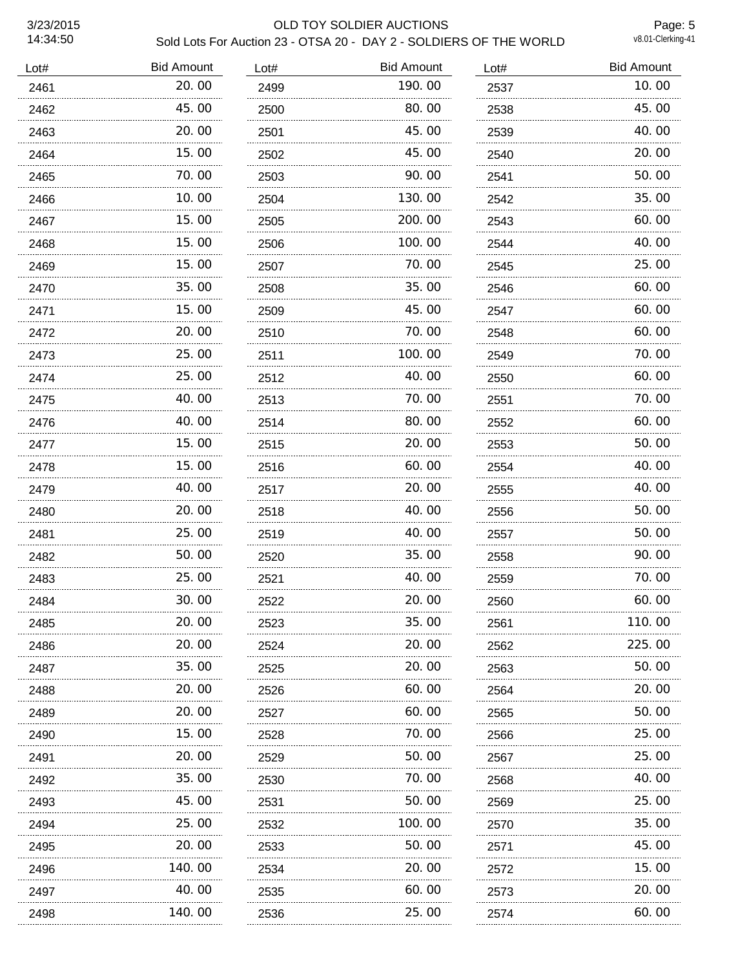### 3/23/2015 OLD TOY SOLDIER AUCTIONS Sold Lots For Auction 23 - OTSA 20 - DAY 2 - SOLDIERS OF THE WORLD

Page: 5<br>v8.01-Clerking-41

| Lot# | <b>Bid Amount</b> | Lot# | <b>Bid Amount</b> | Lot# | <b>Bid Amount</b> |
|------|-------------------|------|-------------------|------|-------------------|
| 2461 | 20.00             | 2499 | 190.00            | 2537 | 10.00             |
| 2462 | 45.00             | 2500 | 80.00             | 2538 | 45.00             |
| 2463 | 20.00             | 2501 | 45.00             | 2539 | 40.00             |
| 2464 | 15.00             | 2502 | 45.00             | 2540 | 20.00             |
| 2465 | 70.00             | 2503 | 90.00             | 2541 | 50.00             |
| 2466 | 10.00             | 2504 | 130.00            | 2542 | 35.00             |
| 2467 | 15.00             | 2505 | 200.00            | 2543 | 60.00             |
| 2468 | 15.00             | 2506 | 100.00            | 2544 | 40.00             |
| 2469 | 15.00             | 2507 | 70.00             | 2545 | 25.00             |
| 2470 | 35.00             | 2508 | 35.00             | 2546 | 60.00             |
| 2471 | 15.00             | 2509 | 45.00             | 2547 | 60.00             |
| 2472 | 20.00             | 2510 | 70.00             | 2548 | 60.00             |
| 2473 | 25.00             | 2511 | 100.00            | 2549 | 70.00             |
| 2474 | 25.00             | 2512 | 40.00             | 2550 | 60.00             |
| 2475 | 40.00             | 2513 | 70.00             | 2551 | 70.00             |
| 2476 | 40.00             | 2514 | 80.00             | 2552 | 60.00             |
| 2477 | 15.00             | 2515 | 20,00             | 2553 | 50.00             |
| 2478 | 15.00             | 2516 | 60.00             | 2554 | 40.00             |
| 2479 | 40.00             | 2517 | 20,00             | 2555 | 40.00             |
| 2480 | 20.00             | 2518 | 40.00             | 2556 | 50.00             |
| 2481 | 25.00             | 2519 | 40.00             | 2557 | 50.00             |
| 2482 | 50.00             | 2520 | 35.00             | 2558 | 90.00             |
| 2483 | 25.00             | 2521 | 40.00             | 2559 | 70.00             |
| 2484 | 30.00             | 2522 | 20.00             | 2560 | 60.00             |
| 2485 | 20.00             | 2523 | 35.00             | 2561 | 110.00            |
| 2486 | 20.00             | 2524 | 20.00             | 2562 | 225.00            |
| 2487 | 35.00             | 2525 | 20.00             | 2563 | 50.00             |
| 2488 | 20.00             | 2526 | 60.00             | 2564 | 20.00             |
| 2489 | 20.00             | 2527 | 60.00             | 2565 | 50.00             |
| 2490 | 15.00             | 2528 | 70.00             | 2566 | 25.00             |
| 2491 | 20.00             | 2529 | 50.00             | 2567 | 25.00             |
| 2492 | 35.00             | 2530 | 70.00             | 2568 | 40.00             |
| 2493 | 45.00             | 2531 | 50.00             | 2569 | 25.00             |
| 2494 | 25.00             | 2532 | 100.00            | 2570 | 35.00             |
| 2495 | 20.00             | 2533 | 50.00             | 2571 | 45.00             |
| 2496 | 140.00            | 2534 | 20.00             | 2572 | 15.00             |
| 2497 | 40.00             | 2535 | 60.00             | 2573 | 20.00             |
| 2498 | 140.00            | 2536 | 25.00             | 2574 | 60.00             |
|      |                   |      |                   |      |                   |